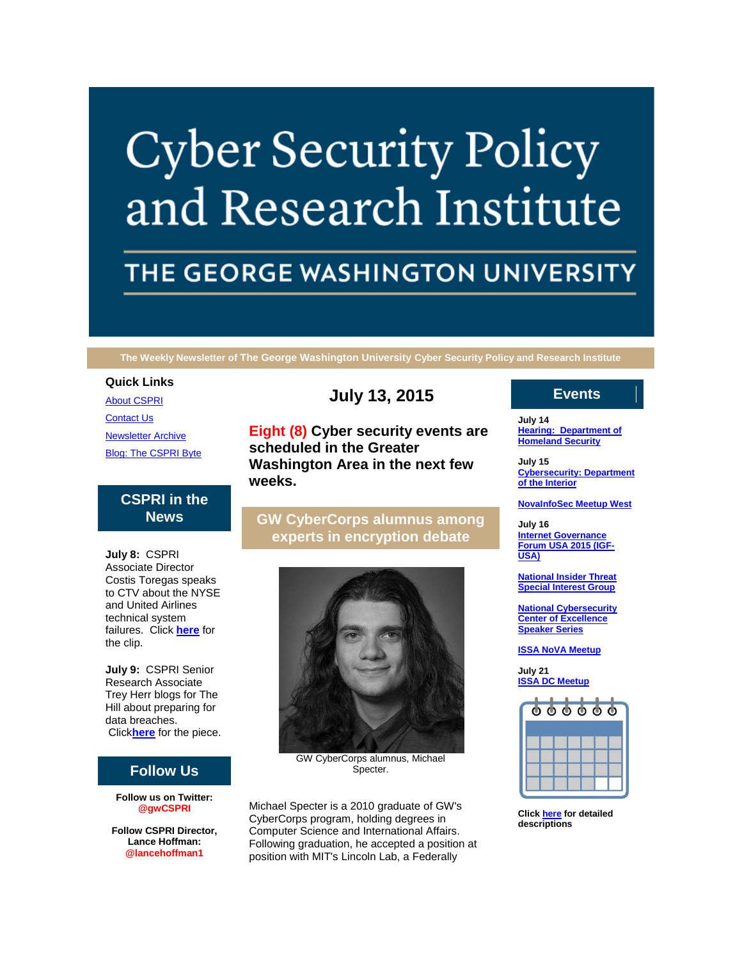# **Cyber Security Policy** and Research Institute

# THE GEORGE WASHINGTON UNIVERSITY

**The Weekly Newsletter of The George Washington University Cyber Security Policy and Research Institute**

#### **Quick Links**

[About CSPRI](http://r20.rs6.net/tn.jsp?e=001W6xrwc0fNTBy0AW8cA07aM8fBEhVVjE1CjuSDdLtzA-4nf20XAUrDPuuCoq0h6jxd-4qrTTApzLzmiz5BYFLzKl4cziD8zq_wY5F4IZcH-TLA0yRSlqSwecdEe2qlp74) [Contact Us](http://r20.rs6.net/tn.jsp?e=001W6xrwc0fNTBy0AW8cA07aM8fBEhVVjE1CjuSDdLtzA-4nf20XAUrDPuuCoq0h6jxd-4qrTTApzLzmiz5BYFLzKl4cziD8zq_wY5F4IZcH-SPHy3hL3lHLJIFuWg2cH4eSfpqDJp2apA=) [Newsletter Archive](http://r20.rs6.net/tn.jsp?e=001W6xrwc0fNTBy0AW8cA07aM8fBEhVVjE1CjuSDdLtzA-4nf20XAUrDPuuCoq0h6jxd-4qrTTApzLzmiz5BYFLzKl4cziD8zq_wY5F4IZcH-RrEQD6ETFSEf91hRHuVDbYvjHZij3aKrM=) [Blog: The CSPRI Byte](http://r20.rs6.net/tn.jsp?e=001W6xrwc0fNTBy0AW8cA07aM8fBEhVVjE1CjuSDdLtzA-4nf20XAUrDPuuCoq0h6jxd-4qrTTApzLzmiz5BYFLzKl4cziD8zq_wY5F4IZcH-Q2i6OKEjKM0RFYLdoPRpuG)

# **CSPRI in the News**

**July 8:** CSPRI Associate Director Costis Toregas speaks to CTV about the NYSE and United Airlines technical system failures. Click **[here](http://r20.rs6.net/tn.jsp?e=001W6xrwc0fNTBy0AW8cA07aM8fBEhVVjE1CjuSDdLtzA-4nf20XAUrDPuuCoq0h6jxd-4qrTTApzLNYTAMJJ66z6JcLKvzQeRaWFlKTTE6cfYsTsiQAzN4DD5M1mk6An-La2dRHgC3IZ3hFlprRWsTF9oGDBe_PVv5BGBu_KGq2NvbPCq1TPNdKG8qZEJF4jdnLyOe6DPEyu0r1RfgdVO8AqcfTIDN7GG6jM0UFDkLPD69NhcNnXF3kQ==)** for the clip.

**July 9:** CSPRI Senior Research Associate Trey Herr blogs for The Hill about preparing for data breaches. Click**[here](http://r20.rs6.net/tn.jsp?e=001W6xrwc0fNTBy0AW8cA07aM8fBEhVVjE1CjuSDdLtzA-4nf20XAUrDPuuCoq0h6jxd-4qrTTApzKTpq1kJ5HBO8Nrnfceg_atdwjaKm2lypsZB7t0tl8bY3FekOt9ozb7QL2SvaUZg1PDidp-nSz4r35ZTAQV8sqMwqKTzs-I4WZ2vKY2tHJ2RddmXmatz-tB)** for the piece.

# **Follow Us**

**Follow us on Twitter: @gwCSPRI**

**Follow CSPRI Director, Lance Hoffman: @lancehoffman1**

# **July 13, 2015**

**Eight (8) Cyber security events are scheduled in the Greater Washington Area in the next few weeks.**

# **GW CyberCorps alumnus among experts in encryption debate**



GW CyberCorps alumnus, Michael Specter.

Michael Specter is a 2010 graduate of GW's CyberCorps program, holding degrees in Computer Science and International Affairs. Following graduation, he accepted a position at position with MIT's Lincoln Lab, a Federally

# **Events**

**July 14 [Hearing: Department of](http://r20.rs6.net/tn.jsp?e=001W6xrwc0fNTBy0AW8cA07aM8fBEhVVjE1CjuSDdLtzA-4nf20XAUrDPuuCoq0h6jxd-4qrTTApzLzmiz5BYFLzKl4cziD8zq_wY5F4IZcH-S9AEEvpLDQSPtOQD74h5JDDbX9DyMpJEA=)  [Homeland Security](http://r20.rs6.net/tn.jsp?e=001W6xrwc0fNTBy0AW8cA07aM8fBEhVVjE1CjuSDdLtzA-4nf20XAUrDPuuCoq0h6jxd-4qrTTApzLzmiz5BYFLzKl4cziD8zq_wY5F4IZcH-S9AEEvpLDQSPtOQD74h5JDDbX9DyMpJEA=)**

**July 15 [Cybersecurity: Department](http://r20.rs6.net/tn.jsp?e=001W6xrwc0fNTBy0AW8cA07aM8fBEhVVjE1CjuSDdLtzA-4nf20XAUrDPuuCoq0h6jxd-4qrTTApzLzmiz5BYFLzKl4cziD8zq_wY5F4IZcH-S9AEEvpLDQSPtOQD74h5JDDbX9DyMpJEA=)  [of the Interior](http://r20.rs6.net/tn.jsp?e=001W6xrwc0fNTBy0AW8cA07aM8fBEhVVjE1CjuSDdLtzA-4nf20XAUrDPuuCoq0h6jxd-4qrTTApzLzmiz5BYFLzKl4cziD8zq_wY5F4IZcH-S9AEEvpLDQSPtOQD74h5JDDbX9DyMpJEA=)**

#### **[NovaInfoSec Meetup West](http://r20.rs6.net/tn.jsp?e=001W6xrwc0fNTBy0AW8cA07aM8fBEhVVjE1CjuSDdLtzA-4nf20XAUrDPuuCoq0h6jxd-4qrTTApzLzmiz5BYFLzKl4cziD8zq_wY5F4IZcH-S9AEEvpLDQSPtOQD74h5JDDbX9DyMpJEA=)**

**July 16 [Internet Governance](http://r20.rs6.net/tn.jsp?e=001W6xrwc0fNTBy0AW8cA07aM8fBEhVVjE1CjuSDdLtzA-4nf20XAUrDPuuCoq0h6jxd-4qrTTApzLzmiz5BYFLzKl4cziD8zq_wY5F4IZcH-S9AEEvpLDQSPtOQD74h5JDDbX9DyMpJEA=)  [Forum USA 2015 \(IGF-](http://r20.rs6.net/tn.jsp?e=001W6xrwc0fNTBy0AW8cA07aM8fBEhVVjE1CjuSDdLtzA-4nf20XAUrDPuuCoq0h6jxd-4qrTTApzLzmiz5BYFLzKl4cziD8zq_wY5F4IZcH-S9AEEvpLDQSPtOQD74h5JDDbX9DyMpJEA=)[USA\)](http://r20.rs6.net/tn.jsp?e=001W6xrwc0fNTBy0AW8cA07aM8fBEhVVjE1CjuSDdLtzA-4nf20XAUrDPuuCoq0h6jxd-4qrTTApzLzmiz5BYFLzKl4cziD8zq_wY5F4IZcH-S9AEEvpLDQSPtOQD74h5JDDbX9DyMpJEA=)**

**[National Insider Threat](http://r20.rs6.net/tn.jsp?e=001W6xrwc0fNTBy0AW8cA07aM8fBEhVVjE1CjuSDdLtzA-4nf20XAUrDPuuCoq0h6jxd-4qrTTApzLzmiz5BYFLzKl4cziD8zq_wY5F4IZcH-S9AEEvpLDQSPtOQD74h5JDDbX9DyMpJEA=)  [Special Interest Group](http://r20.rs6.net/tn.jsp?e=001W6xrwc0fNTBy0AW8cA07aM8fBEhVVjE1CjuSDdLtzA-4nf20XAUrDPuuCoq0h6jxd-4qrTTApzLzmiz5BYFLzKl4cziD8zq_wY5F4IZcH-S9AEEvpLDQSPtOQD74h5JDDbX9DyMpJEA=)**

**[National Cybersecurity](http://r20.rs6.net/tn.jsp?e=001W6xrwc0fNTBy0AW8cA07aM8fBEhVVjE1CjuSDdLtzA-4nf20XAUrDPuuCoq0h6jxd-4qrTTApzLzmiz5BYFLzKl4cziD8zq_wY5F4IZcH-S9AEEvpLDQSPtOQD74h5JDDbX9DyMpJEA=)  [Center of Excellence](http://r20.rs6.net/tn.jsp?e=001W6xrwc0fNTBy0AW8cA07aM8fBEhVVjE1CjuSDdLtzA-4nf20XAUrDPuuCoq0h6jxd-4qrTTApzLzmiz5BYFLzKl4cziD8zq_wY5F4IZcH-S9AEEvpLDQSPtOQD74h5JDDbX9DyMpJEA=)  [Speaker Series](http://r20.rs6.net/tn.jsp?e=001W6xrwc0fNTBy0AW8cA07aM8fBEhVVjE1CjuSDdLtzA-4nf20XAUrDPuuCoq0h6jxd-4qrTTApzLzmiz5BYFLzKl4cziD8zq_wY5F4IZcH-S9AEEvpLDQSPtOQD74h5JDDbX9DyMpJEA=)**

**[ISSA NoVA Meetup](http://r20.rs6.net/tn.jsp?e=001W6xrwc0fNTBy0AW8cA07aM8fBEhVVjE1CjuSDdLtzA-4nf20XAUrDPuuCoq0h6jxd-4qrTTApzLzmiz5BYFLzKl4cziD8zq_wY5F4IZcH-S9AEEvpLDQSPtOQD74h5JDDbX9DyMpJEA=)**

**July 21 [ISSA DC Meetup](http://r20.rs6.net/tn.jsp?e=001W6xrwc0fNTBy0AW8cA07aM8fBEhVVjE1CjuSDdLtzA-4nf20XAUrDPuuCoq0h6jxd-4qrTTApzLzmiz5BYFLzKl4cziD8zq_wY5F4IZcH-S9AEEvpLDQSPtOQD74h5JDDbX9DyMpJEA=)**

| 000000 |  |  |
|--------|--|--|
|        |  |  |
|        |  |  |
|        |  |  |

**Click [here](http://r20.rs6.net/tn.jsp?e=001W6xrwc0fNTBy0AW8cA07aM8fBEhVVjE1CjuSDdLtzA-4nf20XAUrDPuuCoq0h6jxd-4qrTTApzLzmiz5BYFLzKl4cziD8zq_wY5F4IZcH-S9AEEvpLDQSPtOQD74h5JDIjpUWnTojhbFCwy49OhkYg==) for detailed descriptions**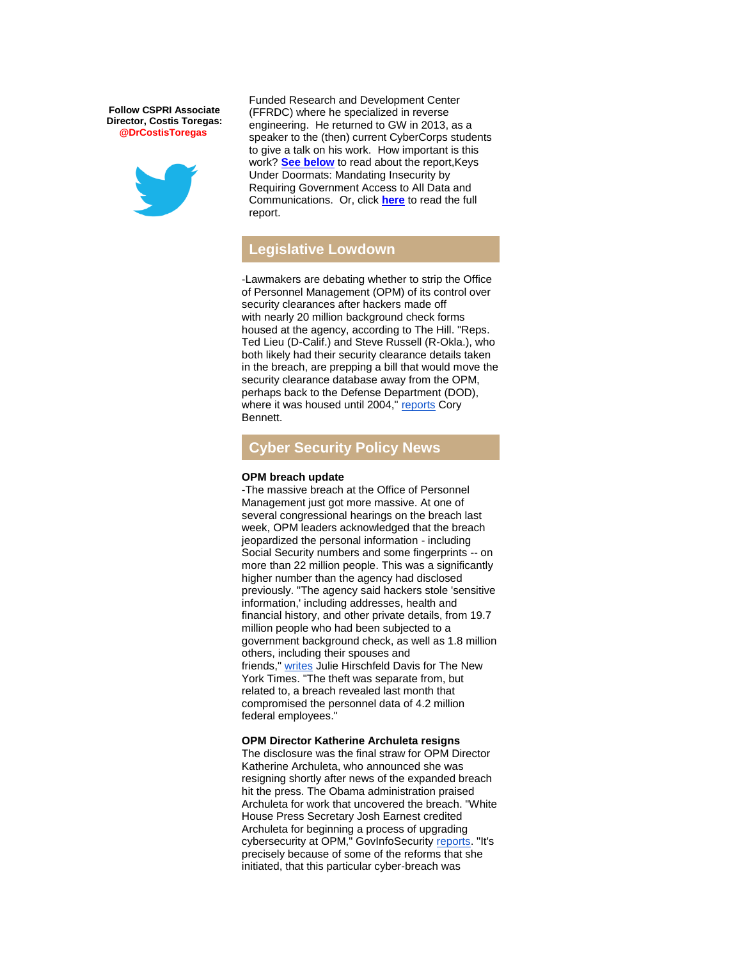**Follow CSPRI Associate Director, Costis Toregas: @DrCostisToregas**



Funded Research and Development Center (FFRDC) where he specialized in reverse engineering. He returned to GW in 2013, as a speaker to the (then) current CyberCorps students to give a talk on his work. How important is this work? **[See below](https://mail.google.com/mail/u/0/#14e88d8a6819a491_GoingDark)** to read about the report,Keys Under Doormats: Mandating Insecurity by Requiring Government Access to All Data and Communications. Or, click **[here](http://r20.rs6.net/tn.jsp?e=001W6xrwc0fNTBy0AW8cA07aM8fBEhVVjE1CjuSDdLtzA-4nf20XAUrDPuuCoq0h6jxd-4qrTTApzI1iGf7-kWN00ve5RprNwpCIg0ha-vCW7FuOBVP6pnCk-h3W4YszMKBbKJ1dfRvjdHedOtIHaUf3cKTZut2HpagwbtoMdEcuySAze6rLc2TECIfPvQtxOhEBhy8RPRkedThuagqerzIEA==)** to read the full report.

### **Legislative Lowdown**

-Lawmakers are debating whether to strip the Office of Personnel Management (OPM) of its control over security clearances after hackers made off with [nearly 20 million](http://r20.rs6.net/tn.jsp?e=001W6xrwc0fNTBy0AW8cA07aM8fBEhVVjE1CjuSDdLtzA-4nf20XAUrDPuuCoq0h6jxd-4qrTTApzKTpq1kJ5HBO8Nrnfceg_atlbFWAuSwrxijpxJmrtiZ4mWYwqc2MkVE1RNE1kSscnOXeXtPh5Q0hWjmvylCfFFTpVyQTTWECXQBS6BLJLXki8W9635Fqlok2E_wnEgXEec=) background check forms housed at the agency, according to The Hill. "Reps. Ted Lieu (D-Calif.) and Steve Russell (R-Okla.), who both likely had their security clearance details taken in the breach, are prepping a bill that would move the security clearance database away from the OPM, perhaps back to the Defense Department (DOD), where it was housed until 2004," [reports](http://r20.rs6.net/tn.jsp?e=001W6xrwc0fNTBy0AW8cA07aM8fBEhVVjE1CjuSDdLtzA-4nf20XAUrDPuuCoq0h6jxd-4qrTTApzKTpq1kJ5HBO8Nrnfceg_atlbFWAuSwrxijpxJmrtiZ4mWYwqc2MkVEtyZdlZflSdOspqOmUarg1Vxyp3tA2v2hoWpXRsZ-ouwYeGAcY1FVwcWMDKRNEp67ilW_hbKaSTw=) Cory Bennett.

## **Cyber Security Policy News**

#### **OPM breach update**

-The massive breach at the Office of Personnel Management just got more massive. At one of several congressional hearings on the breach last week, OPM leaders acknowledged that the breach jeopardized the personal information - including Social Security numbers and some fingerprints -- on more than 22 million people. This was a significantly higher number than the agency had disclosed previously. "The agency said hackers stole 'sensitive information,' including addresses, health and financial history, and other private details, from 19.7 million people who had been subjected to a government background check, as well as 1.8 million others, including their spouses and friends," [writes](http://r20.rs6.net/tn.jsp?e=001W6xrwc0fNTBy0AW8cA07aM8fBEhVVjE1CjuSDdLtzA-4nf20XAUrDPuuCoq0h6jxd-4qrTTApzLkKnsDxel50vjhlEvnzRDw4u12jxHZz-5eYFNXgSsHMhyBN7bs2nJyhA6Jn1iXken6VJYxF3gwN32TnlBIve9ilNH19FXPvCohpMcgEK8vrsre-DcNIXnS_qdRrnPKa3VPWn_WCgxplUOaB33keDnOCeMckB05BB9txEuXZPyt22DG4LPCV68skKb8Ye1fVJhZa03SNAwTuipqeL1cTiQY7Md4Xt0WttY=) Julie Hirschfeld Davis for The New York Times. "The theft was separate from, but related to, a breach revealed last month that compromised the personnel data of 4.2 million federal employees."

**OPM Director Katherine Archuleta resigns** The disclosure was the final straw for OPM Director Katherine Archuleta, who announced she was resigning shortly after news of the expanded breach hit the press. The Obama administration praised Archuleta for work that uncovered the breach. "White House Press Secretary Josh Earnest credited Archuleta for beginning a process of upgrading cybersecurity at OPM," GovInfoSecurity [reports.](http://r20.rs6.net/tn.jsp?e=001W6xrwc0fNTBy0AW8cA07aM8fBEhVVjE1CjuSDdLtzA-4nf20XAUrDPuuCoq0h6jxd-4qrTTApzJ07AHdmpHr9PiYi2vFcQ7dGJ3u9Y985yhbQsku4oyvrGPjENy4vJeTV2TfY5J-LuWxPiWMDczobmf6phtPPj4VKfsI5aa2AFM=) "It's precisely because of some of the reforms that she initiated, that this particular cyber-breach was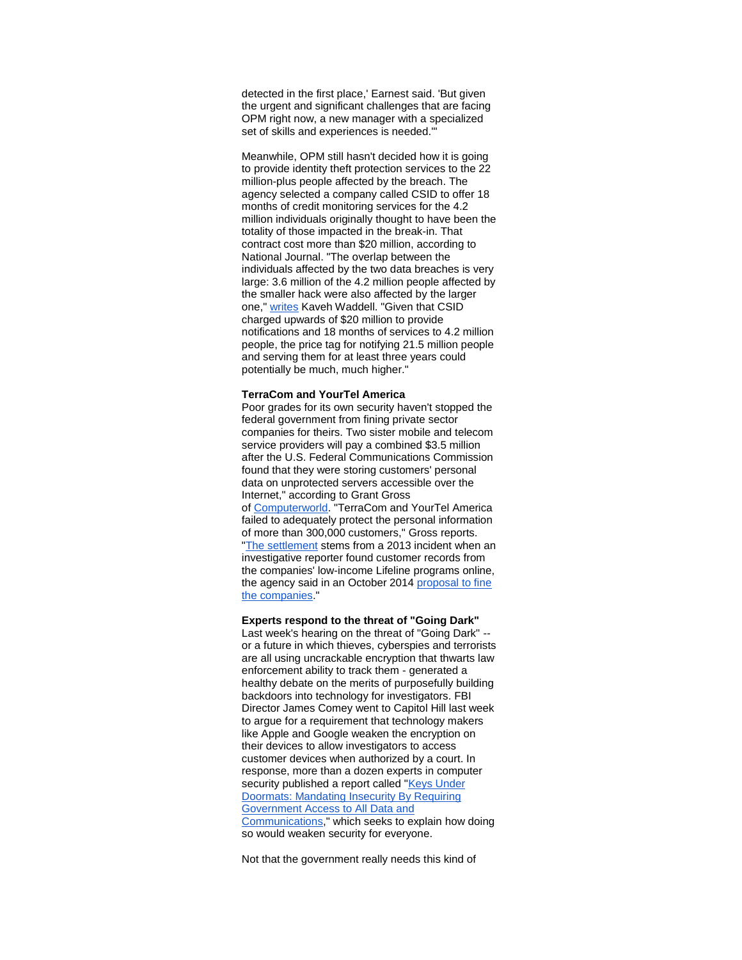detected in the first place,' Earnest said. 'But given the urgent and significant challenges that are facing OPM right now, a new manager with a specialized set of skills and experiences is needed.'"

Meanwhile, OPM still hasn't decided how it is going to provide identity theft protection services to the 22 million-plus people affected by the breach. The agency selected a company called CSID to offer 18 months of credit monitoring services for the 4.2 million individuals originally thought to have been the totality of those impacted in the break-in. That contract cost more than \$20 million, according to National Journal. "The overlap between the individuals affected by the two data breaches is very large: 3.6 million of the 4.2 million people affected by the smaller hack were also affected by the larger one," [writes](http://r20.rs6.net/tn.jsp?e=001W6xrwc0fNTBy0AW8cA07aM8fBEhVVjE1CjuSDdLtzA-4nf20XAUrDPuuCoq0h6jxd-4qrTTApzIDwqkrdDHUeo63539p3lGpdQXcov3JevJ9cLACmsXXw7lWJs9p_n0t5PbSJkbHOhaDPtTqI3jsq4VhGMYmvyTG3v4SL3kBg6IFFEOOAOuxGbBN_2PTF61S9FZA5TRqxw83_HAORrtoWx_AZmeuUkLyRXH-TxaZ56VjjL5hChxxTQ==) Kaveh Waddell. "Given that CSID charged upwards of \$20 million to provide notifications and 18 months of services to 4.2 million people, the price tag for notifying 21.5 million people and serving them for at least three years could potentially be much, much higher."

#### **TerraCom and YourTel America**

Poor grades for its own security haven't stopped the federal government from fining private sector companies for theirs. Two sister mobile and telecom service providers will pay a combined \$3.5 million after the U.S. Federal Communications Commission found that they were storing customers' personal data on unprotected servers accessible over the Internet," according to Grant Gross of [Computerworld.](http://r20.rs6.net/tn.jsp?e=001W6xrwc0fNTBy0AW8cA07aM8fBEhVVjE1CjuSDdLtzA-4nf20XAUrDPuuCoq0h6jxd-4qrTTApzJ_k4Rgn3FeWuut-QgI2m4-zaIe5J1UwZJnoA4HCK-FcKYtik2g75PA85EjQO58O9NFhtmnw7pQCS2DCJlLtN6Y14_9QZnkMLp1D9XlKxAQASMBZX7ptrCN7fgxSzQ5dEGc2weaJjqct33tIBUM5e0OCzFEMW9MmGEvXENmJxM3NQ==) "TerraCom and YourTel America failed to adequately protect the personal information of more than 300,000 customers," Gross reports. ["The settlement](http://r20.rs6.net/tn.jsp?e=001W6xrwc0fNTBy0AW8cA07aM8fBEhVVjE1CjuSDdLtzA-4nf20XAUrDPuuCoq0h6jxzE8E7sYTgQe861VyO1eU4EAf8T1nVG4HJIZaHc3gsDMnsS4CoMEfNnNnIVAITLUKPBcw2uVYU2Y7t0qtxzysqFiGaGJmg3hU) stems from a 2013 incident when an investigative reporter found customer records from the companies' low-income Lifeline programs online, the agency said in an October 2014 [proposal to fine](http://r20.rs6.net/tn.jsp?e=001W6xrwc0fNTBy0AW8cA07aM8fBEhVVjE1CjuSDdLtzA-4nf20XAUrDPuuCoq0h6jxzE8E7sYTgQcKuKgiNZ4dLCrRe1Gz1o4pLzaArjJ9Ov_QuGU8ruVKieBH8uQxk7Ckd39HkxKPUdgUEfc6qog4IHJqvku6-z3LppVmw7UDMesS5nTyAcL1mf_z9ei4yp-kGQMQEMmfBK4=)  [the companies.](http://r20.rs6.net/tn.jsp?e=001W6xrwc0fNTBy0AW8cA07aM8fBEhVVjE1CjuSDdLtzA-4nf20XAUrDPuuCoq0h6jxzE8E7sYTgQcKuKgiNZ4dLCrRe1Gz1o4pLzaArjJ9Ov_QuGU8ruVKieBH8uQxk7Ckd39HkxKPUdgUEfc6qog4IHJqvku6-z3LppVmw7UDMesS5nTyAcL1mf_z9ei4yp-kGQMQEMmfBK4=)"

#### **Experts respond to the threat of "Going Dark"**

Last week's hearing on the threat of "Going Dark" - or a future in which thieves, cyberspies and terrorists are all using uncrackable encryption that thwarts law enforcement ability to track them - generated a healthy debate on the merits of purposefully building backdoors into technology for investigators. FBI Director James Comey went to Capitol Hill last week to argue for a requirement that technology makers like Apple and Google weaken the encryption on their devices to allow investigators to access customer devices when authorized by a court. In response, more than a dozen experts in computer security published a report called "Keys Under [Doormats: Mandating Insecurity By Requiring](http://r20.rs6.net/tn.jsp?e=001W6xrwc0fNTBy0AW8cA07aM8fBEhVVjE1CjuSDdLtzA-4nf20XAUrDPuuCoq0h6jxd-4qrTTApzI1iGf7-kWN00ve5RprNwpCIg0ha-vCW7FuOBVP6pnCk-h3W4YszMKBbKJ1dfRvjdHedOtIHaUf3cKTZut2HpagwbtoMdEcuySAze6rLc2TECIfPvQtxOhEBhy8RPRkedT-NduBjE3hBg==)  [Government Access to All Data and](http://r20.rs6.net/tn.jsp?e=001W6xrwc0fNTBy0AW8cA07aM8fBEhVVjE1CjuSDdLtzA-4nf20XAUrDPuuCoq0h6jxd-4qrTTApzI1iGf7-kWN00ve5RprNwpCIg0ha-vCW7FuOBVP6pnCk-h3W4YszMKBbKJ1dfRvjdHedOtIHaUf3cKTZut2HpagwbtoMdEcuySAze6rLc2TECIfPvQtxOhEBhy8RPRkedT-NduBjE3hBg==)  [Communications,](http://r20.rs6.net/tn.jsp?e=001W6xrwc0fNTBy0AW8cA07aM8fBEhVVjE1CjuSDdLtzA-4nf20XAUrDPuuCoq0h6jxd-4qrTTApzI1iGf7-kWN00ve5RprNwpCIg0ha-vCW7FuOBVP6pnCk-h3W4YszMKBbKJ1dfRvjdHedOtIHaUf3cKTZut2HpagwbtoMdEcuySAze6rLc2TECIfPvQtxOhEBhy8RPRkedT-NduBjE3hBg==)" which seeks to explain how doing so would weaken security for everyone.

Not that the government really needs this kind of